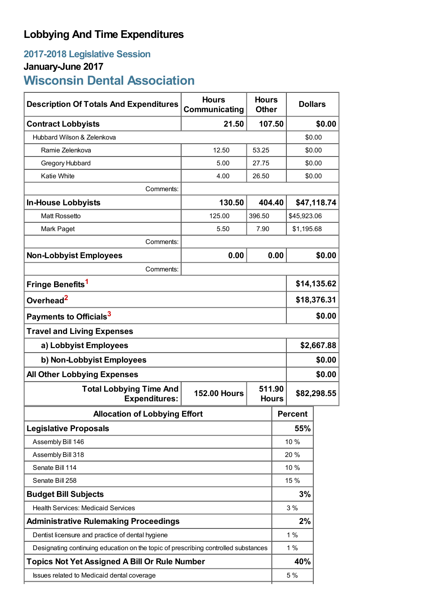# **Lobbying And Time Expenditures**

## **2017-2018 Legislative Session January-June 2017 Wisconsin Dental Association**

| <b>Description Of Totals And Expenditures</b>                                      | <b>Hours</b><br>Communicating | <b>Hours</b><br><b>Other</b> | <b>Dollars</b> |             |        |
|------------------------------------------------------------------------------------|-------------------------------|------------------------------|----------------|-------------|--------|
| <b>Contract Lobbyists</b>                                                          | 21.50                         | 107.50                       |                | \$0.00      |        |
| Hubbard Wilson & Zelenkova                                                         |                               |                              |                | \$0.00      |        |
| Ramie Zelenkova                                                                    | 12.50                         | 53.25                        |                | \$0.00      |        |
| Gregory Hubbard                                                                    | 5.00                          | 27.75                        |                | \$0.00      |        |
| <b>Katie White</b>                                                                 | 4.00                          | 26.50                        |                | \$0.00      |        |
| Comments:                                                                          |                               |                              |                |             |        |
| <b>In-House Lobbyists</b>                                                          | 130.50                        | 404.40                       |                | \$47,118.74 |        |
| <b>Matt Rossetto</b>                                                               | 125.00                        | 396.50                       |                | \$45,923.06 |        |
| Mark Paget                                                                         | 5.50                          | 7.90                         |                | \$1,195.68  |        |
| Comments:                                                                          |                               |                              |                |             |        |
| <b>Non-Lobbyist Employees</b>                                                      | 0.00                          |                              | 0.00           |             | \$0.00 |
| Comments:                                                                          |                               |                              |                |             |        |
| Fringe Benefits <sup>1</sup>                                                       |                               |                              |                | \$14,135.62 |        |
| Overhead <sup>2</sup>                                                              |                               |                              |                | \$18,376.31 |        |
| Payments to Officials <sup>3</sup>                                                 |                               |                              |                | \$0.00      |        |
| <b>Travel and Living Expenses</b>                                                  |                               |                              |                |             |        |
| a) Lobbyist Employees                                                              |                               |                              |                | \$2,667.88  |        |
| b) Non-Lobbyist Employees                                                          |                               |                              |                | \$0.00      |        |
| <b>All Other Lobbying Expenses</b><br>\$0.00                                       |                               |                              |                |             |        |
| <b>Total Lobbying Time And</b><br><b>Expenditures:</b>                             | <b>152.00 Hours</b>           | 511.90<br><b>Hours</b>       |                | \$82,298.55 |        |
| <b>Allocation of Lobbying Effort</b>                                               |                               |                              |                | Percent     |        |
| <b>Legislative Proposals</b>                                                       |                               |                              | 55%            |             |        |
| Assembly Bill 146                                                                  |                               |                              |                | 10 %        |        |
| Assembly Bill 318                                                                  |                               |                              |                | 20%         |        |
| Senate Bill 114                                                                    |                               |                              | 10 %           |             |        |
| Senate Bill 258                                                                    |                               |                              | 15 %           |             |        |
| <b>Budget Bill Subjects</b>                                                        |                               |                              | 3%             |             |        |
| <b>Health Services: Medicaid Services</b>                                          |                               |                              | 3 %            |             |        |
| <b>Administrative Rulemaking Proceedings</b>                                       |                               |                              |                | 2%          |        |
| Dentist licensure and practice of dental hygiene                                   |                               |                              |                | 1%          |        |
| Designating continuing education on the topic of prescribing controlled substances |                               |                              |                | 1%          |        |
| <b>Topics Not Yet Assigned A Bill Or Rule Number</b>                               |                               |                              |                | 40%         |        |
| Issues related to Medicaid dental coverage                                         |                               |                              |                | 5 %         |        |